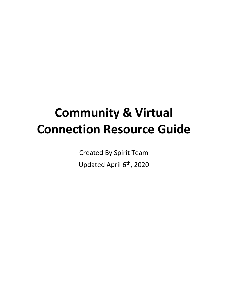# **Community & Virtual Connection Resource Guide**

Created By Spirit Team Updated April 6<sup>th</sup>, 2020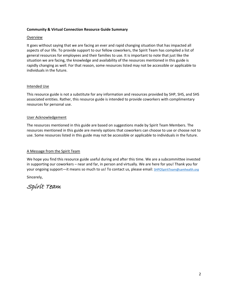## **Community & Virtual Connection Resource Guide Summary**

## Overview

It goes without saying that we are facing an ever and rapid changing situation that has impacted all aspects of our life. To provide support to our fellow coworkers, the Spirit Team has compiled a list of general resources for employees and their families to use. It is important to note that just like the situation we are facing, the knowledge and availability of the resources mentioned in this guide is rapidly changing as well. For that reason, some resources listed may not be accessible or applicable to individuals in the future.

## Intended Use

This resource guide is not a substitute for any information and resources provided by SHP, SHS, and SHS associated entities. Rather, this resource guide is intended to provide coworkers with complimentary resources for personal use.

## User Acknowledgement

The resources mentioned in this guide are based on suggestions made by Spirit Team Members. The resources mentioned in this guide are merely options that coworkers can choose to use or choose not to use. Some resources listed in this guide may not be accessible or applicable to individuals in the future.

## A Message from the Spirit Team

We hope you find this resource guide useful during and after this time. We are a subcommittee invested in supporting our coworkers – near and far, in person and virtually. We are here for you! Thank you for your ongoing support—it means so much to us! To contact us, please email: [SHPOSpiritTeam@samhealth.org](mailto:SHPOSpiritTeam@samhealth.org)

Sincerely,

Spirit Team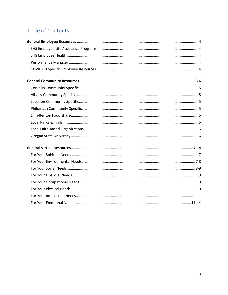# Table of Contents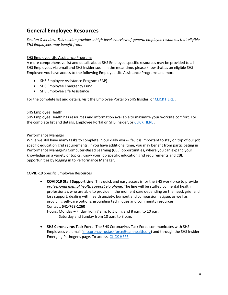# **General Employee Resources**

*Section Overview: This section provides a high-level overview of general employee resources that eligible SHS Employees may benefit from.* 

# SHS Employee Life Assistance Programs

A more comprehensive list and details about SHS Employee specific resources may be provided to all SHS Employees via email and SHS Insider soon. In the meantime, please know that as an eligible SHS Employee you have access to the following Employee Life Assistance Programs and more:

- SHS Employee Assistance Program (EAP)
- SHS Employee Emergency Fund
- SHS Employee Life Assistance

For the complete list and details, visit the Employee Portal on SHS Insider, or [CLICK HERE](https://samhealth.sharepoint.com/sites/Employees/Life-Assistance) .

## SHS Employee Health

SHS Employee Health has resources and information available to maximize your worksite comfort. For the complete list and details, Employee Portal on SHS Insider, or [CLICK HERE](https://samhealth.sharepoint.com/sites/Employees/worksite-ergonomics?g=Worker%20Health%20%26%20Safety) .

# Performance Manager

While we still have many tasks to complete in our daily work-life, it is important to stay on top of our job specific education grid requirements. If you have additional time, you may benefit from participating in Performance Manager's Computer-Based Learning (CBL) opportunities, where you can expand your knowledge on a variety of topics. Know your job specific education grid requirements and CBL opportunities by logging in to Performance Manager.

## COVID-19 Specific Employee Resources

• **COVID19 Staff Support Line**: This quick and easy access is for the SHS workforce to provide *professional mental health support via phone*. The line will be staffed by mental health professionals who are able to provide in the moment care depending on the need: grief and loss support, dealing with health anxiety, burnout and compassion fatigue, as well as providing self-care options, grounding techniques and community resources. Contact: **541-768-1260**

Hours: Monday – Friday from 7 a.m. to 5 p.m. and 8 p.m. to 10 p.m. Saturday and Sunday from 10 a.m. to 3 p.m.

• **SHS Coronavirus Task Force**: The SHS Coronavirus Task Force communicates with SHS Employees via email [\(shscoronavirustaskforce@samhealth.org\)](mailto:shscoronavirustaskforce@samhealth.org) and through the SHS Insider Emerging Pathogens page. To access, [CLICK HERE](https://samhealth.sharepoint.com/sites/EmergingPathogens) .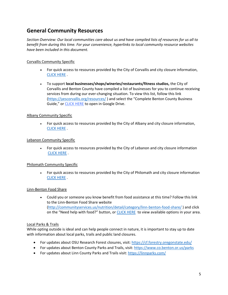# **General Community Resources**

*Section Overview: Our local communities care about us and have compiled lists of resources for us all to benefit from during this time. For your convenience, hyperlinks to local community resource websites have been included in this document.*

# Corvallis Community Specific

- For quick access to resources provided by the City of Corvallis and city closure information, [CLICK HERE](https://www.corvallisoregon.gov/cm/page/city-announces-closures-and-cancellations-related-covid-19) .
- To support **local businesses/shops/wineries/restaurants/fitness studios,** the City of Corvallis and Benton County have compiled a list of businesses for you to continue receiving services from during our ever-changing situation. To view this list, follow this link [\(https://yescorvallis.org/resources/](https://yescorvallis.org/resources/) ) and select the "Complete Benton County Business Guide," or [CLICK HERE](https://drive.google.com/open?id=1nG1aAzXg-2xSS7XUkTkHtOdPg0yCFbcnmJnU_I0zf6Y) to open in Google Drive.

# Albany Community Specific

• For quick access to resources provided by the City of Albany and city closure information, [CLICK HERE](https://www.cityofalbany.net/coronavirus) .

## Lebanon Community Specific

• For quick access to resources provided by the City of Lebanon and city closure information [CLICK HERE](https://www.ci.lebanon.or.us/covid19/page/covid-19-information-city-closures-and-resources) .

## Philomath Community Specific

• For quick access to resources provided by the City of Philomath and city closure information [CLICK HERE](https://www.ci.philomath.or.us/index.asp?Type=B_BASIC&SEC=%7bF09F0235-5C1D-4CFD-A4BC-AC64AAEC3A88%7d) .

## Linn-Benton Food Share

• Could you or someone you know benefit from food assistance at this time? Follow this link to the Linn-Benton Food Share website [\(http://communityservices.us/nutrition/detail/category/linn-benton-food-share/](http://communityservices.us/nutrition/detail/category/linn-benton-food-share/) ) and click on the "Need help with food?" button, o[r CLICK HERE](http://communityservices.us/files/Food_Share_NEED_HELP_WITH_FOOD3-17-20.pdf) to view available options in your area.

## Local Parks & Trails

While opting outside is ideal and can help people connect in nature, it is important to stay up to date with information about local parks, trails and public land closures.

- For updates about OSU Research Forest closures, visit[: https://cf.forestry.oregonstate.edu/](https://cf.forestry.oregonstate.edu/)
- For updates about Benton County Parks and Trails, visit:<https://www.co.benton.or.us/parks>
- For updates about Linn County Parks and Trails visit[: https://linnparks.com/](https://linnparks.com/)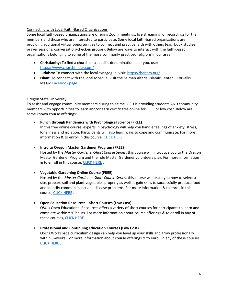## Connecting with Local Faith-Based Organizations

Some local faith-based organizations are offering Zoom meetings, live streaming, or recordings for their members and those who are interested to participate. Some local faith-based organizations are providing additional virtual opportunities to connect and practice faith with others (e.g., book studies, prayer sessions, conversation/check-in groups). Below are ways to interact with the faith-based organizations belonging to some of the more commonly practiced religions in our area:

- **Christianity:** To find a church or a specific denomination near you, use: <https://www.churchfinder.com/>
- **Judaism:** To connect with the local synagogue, visit:<https://beitam.org/>
- **Islam:** To connect with the local Mosque, visit the Salman Alfarisi Islamic Center Corvallis Masjid Facebook page

# Oregon State University

To assist and engage community members during this time, OSU is providing students AND community members with opportunities to learn and/or earn certificates online for FREE or low cost. Below are some known course offerings:

• **Punch through Pandemics with Psychological Science (FREE)** In this free online course, experts in psychology will help you handle feelings of anxiety, stress, loneliness and isolation. Participants will also learn ways to cope and communicate. For more information & to enroll in this course[, CLICK HERE](https://liberalarts.oregonstate.edu/sps/punchcovid19).

• **Intro to Oregon Master Gardener Program (FREE)** Hosted by the *Master Gardener-Short Course Series*, this course will introduce you to the Oregon Master Gardener Program and the role Master Gardener volunteers play. For more information & to enroll in this course, [CLICK HERE](https://workspace.oregonstate.edu/course/free-intro-to-oregon-master-gardener-program?hsLang=en) .

- **Vegetable Gardening Online Course (FREE)** Hosted by the *Master Gardener-Short Course Series*, this course will teach you how to select a site, prepare soil and plant vegetables properly as well as gain skills to successfully produce food and identify common insect and disease problems. For more information & to enroll in this course, [CLICK HERE](https://workspace.oregonstate.edu/course/master-gardener-series-vegetable-gardening?hsLang=en) .
- **Open Education Resources—Short Courses (Low Cost)** OSU's Open Educational Resources offers a variety of short courses for participants to learn and complete within ~20 hours. For more information about course offerings & to enroll in any of these courses[, CLICK HERE](https://open.oregonstate.edu/courses/short.htm) .
- **Professional and Continuing Education Courses (Low Cost)** OSU's Workspace curriculum design can help you level up your skills and grow professionally within 5-weeks. For more information about course offerings & to enroll in any of these courses, [CLICK HERE](https://workspace.oregonstate.edu/catalog-page#all-courses) .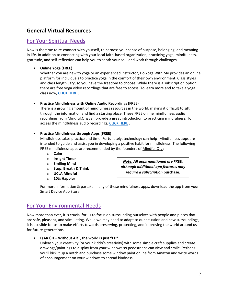# **General Virtual Resources**

# For Your Spiritual Needs

Now is the time to re-connect with yourself, to harness your sense of purpose, belonging, and meaning in life. In addition to connecting with your local faith-based organization, practicing yoga, mindfulness, gratitude, and self-reflection can help you to sooth your soul and work through challenges.

# • **Online Yoga (FREE)**

Whether you are new to yoga or an experienced instructor, Do Yoga With Me provides an online platform for individuals to practice yoga in the comfort of their own environment. Class styles and class length vary, so you have the freedom to choose. While there is a subscription option, there are free yoga video recordings that are free to access. To learn more and to take a yoga class now, [CLICK HERE](https://www.doyogawithme.com/) .

# • **Practice Mindfulness with Online Audio Recordings (FREE)**

There is a growing amount of mindfulness resources in the world, making it difficult to sift through the information and find a starting place. These FREE online mindfulness audio recordings from Mindful.Org can provide a great introduction to practicing mindfulness. To access the mindfulness audio recordings, [CLICK HERE](https://www.mindful.org/audio-resources-for-mindfulness-meditation/) .

# • **Practice Mindfulness through Apps (FREE)**

Mindfulness takes practice and time. Fortunately, technology can help! Mindfulness apps are intended to guide and assist you in developing a positive habit for mindfulness. The following FREE mindfulness apps are recommended by the founders of Mindful.Org:

- o **Calm**
- o **Insight Timer**
- o **Smiling Mind**
- o **Stop, Breath & Think**
- o **UCLA Mindful**
- o **10% Happier**

*Note: All apps mentioned are FREE, although additional app features may require a subscription* **purchase.**

For more information & partake in any of these mindfulness apps, download the app from your Smart Device App Store.

# For Your Environmental Needs

Now more than ever, it is crucial for us to focus on surrounding ourselves with people and places that are safe, pleasant, and stimulating. While we may need to adapt to our situation and new surroundings, it is possible for us to make efforts towards preserving, protecting, and improving the world around us for future generations.

# • **E(ART)H – Without ART, the world is just "EH"**

Unleash your creativity (or your kiddo's creativity) with some simple craft supplies and create drawings/paintings to display from your windows so pedestrians can view and smile. Perhaps you'll kick it up a notch and purchase some window paint online from Amazon and write words of encouragement on your windows to spread kindness.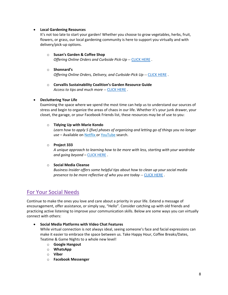# • **Local Gardening Resources**

It's not too late to start your garden! Whether you choose to grow vegetables, herbs, fruit, flowers, or grass, our local gardening community is here to support you virtually and with delivery/pick-up options.

- o **Susan's Garden & Coffee Shop** *Offering Online Orders and Curbside Pick-Up* -- [CLICK HERE](http://susansgardenandcoffeeshop.com/) .
- o **Shonnard's** *Offering Online Orders, Delivery, and Curbside-Pick Up -- [CLICK HERE](https://www.shonnards.com/).*
- o **Corvallis Sustainability Coalition's Garden Resource Guide** *Access to tips and much more --* [CLICK HERE](https://sustainablecorvallis.org/action-teams/food/garden-resource-guide/) .

# • **Decluttering Your Life**

Examining the space where we spend the most time can help us to understand our sources of stress and begin to organize the areas of chaos in our life. Whether it's your junk drawer, your closet, the garage, or your Facebook Friends list, these resources may be of use to you:

# o **Tidying Up with Marie Kondo**

*Learn how to apply 5 (five) phases of organizing and letting go of things you no longer*  use – Available on Netflix or YouTube search.

# o **Project 333**

*A unique approach to learning how to be more with less, starting with your wardrobe and going beyond –* [CLICK HERE](https://bemorewithless.com/project-333/) .

## o **Social Media Cleanse**

*Business Insider offers some helpful tips about how to clean up your social media presence to be more reflective of who you are today* -- [CLICK HERE](https://www.businessinsider.com/scrub-social-media-delete-job-application-2019-9) .

# For Your Social Needs

Continue to make the ones you love and care about a priority in your life. Extend a message of encouragement, offer assistance, or simply say, "Hello". Consider catching up with old friends and practicing active listening to improve your communication skills. Below are some ways you can virtually connect with others:

# • **Social Media Platforms with Video Chat Features**

While virtual connection is not always ideal, seeing someone's face and facial expressions can make it easier to embrace the space between us. Take Happy Hour, Coffee Breaks/Dates, Teatime & Game Nights to a whole new level!

- o **Google Hangout**
- o **WhatsApp**
- o **Viber**
- o **Facebook Messenger**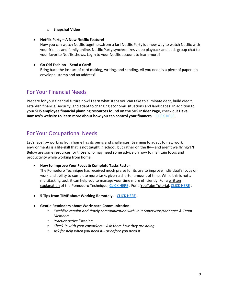- o **Snapchat Video**
- **Netflix Party – A New Netflix Feature!**

Now you can watch Netflix together…from a far! Netflix Party is a new way to watch Netflix with your friends and family online. Netflix Party synchronizes video playback and adds group chat to your favorite Netflix shows. Login to your Netflix account to learn more!

# • **Go Old Fashion – Send a Card!**

Bring back the lost art of card making, writing, and sending. All you need is a piece of paper, an envelope, stamp and an address!

# For Your Financial Needs

Prepare for your financial future now! Learn what steps you can take to eliminate debt, build credit, establish financial security, and adapt to changing economic situations and landscapes. In addition to your **SHS employee financial planning resources found on the SHS Insider Page**, check out **Dave Ramsey's website to learn more about how you can control your finances** – [CLICK HERE](https://www.daveramsey.com/) .

# For Your Occupational Needs

Let's face it—working from home has its perks and challenges! Learning to adapt to new work environments is a life-skill that is not taught in school, but rather on the fly—and aren't we flying?!?! Below are some resources for those who may need some advice on how to maintain focus and productivity while working from home.

• **How to Improve Your Focus & Complete Tasks Faster**

The Pomodoro Technique has received much praise for its use to improve individual's focus on work and ability to complete more tasks given a shorter amount of time. While this is not a multitasking tool, it can help you to manage your time more efficiently. For a written explanation of the Pomodoro Technique, [CLICK HERE](https://www.youtube.com/watch?v=mNBmG24djoY) . For a YouTube Tutorial, CLICK HERE .

• **5 Tips from TIME about Working Remotely** -- [CLICK HERE](https://time.com/5801725/work-from-home-remote-tips/) .

# • **Gentle Reminders about Workspace Communication**

- o *Establish regular and timely communication with your Supervisor/Manager & Team Members*
- o *Practice active listening*
- o *Check-in with your coworkers – Ask them how they are doing*
- o *Ask for help when you need it-- or before you need it*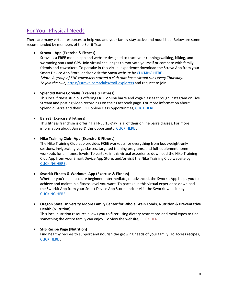# For Your Physical Needs

There are many virtual resources to help you and your family stay active and nourished. Below are some recommended by members of the Spirit Team:

# • **Strava—App (Exercise & Fitness)**

Strava is a **FREE** mobile app and website designed to track your running/walking, biking, and swimming stats and GPS. Join virtual challenges to motivate yourself or compete with family, friends and coworkers. To partake in this virtual experience download the Strava App from your Smart Device App Store, and/or visit the Stava website b[y CLICKING HERE](https://www.strava.com/) . *\*Note: A group of SHP coworkers started a club that hosts virtual runs every Thursday. To join the club,* <https://strava.com/clubs/trail-explorers> and request to join.

# • **Splendid Barre Corvallis (Exercise & Fitness)**

This local fitness studio is offering **FREE online** barre and yoga classes through Instagram on Live Stream and posting video recordings on their Facebook page. For more information about Splendid Barre and their FREE online class opportunities, [CLICK HERE](http://splendidbarre.com/covid-19-update/) .

# • **Barre3 (Exercise & Fitness)**

This fitness franchise is offering a FREE 15-Day Trial of their online barre classes. For more information about Barre3 & this opportunity, [CLICK HERE](https://barre3.com/) .

# • **Nike Training Club--App (Exercise & Fitness)**

The Nike Training Club app provides FREE workouts for everything from bodyweight-only sessions, invigorating yoga classes, targeted training programs, and full-equipment home workouts for all fitness levels. To partake in this virtual experience download the Nike Training Club App from your Smart Device App Store, and/or visit the Nike Training Club website by [CLICKING HERE](https://www.nike.com/ntc-app) .

## • **Sworkit Fitness & Workout--App (Exercise & Fitness)**

Whether you're an absolute beginner, intermediate, or advanced, the Sworkit App helps you to achieve and maintain a fitness level you want. To partake in this virtual experience download the Sworkit App from your Smart Device App Store, and/or visit the Sworkit website by [CLICKING HERE](https://sworkit.com/) .

• **Oregon State University Moore Family Center for Whole Grain Foods, Nutrition & Preventative Health (Nutrition)**

This local nutrition resource allows you to filter using dietary restrictions and meal types to find something the entire family can enjoy. To view the website, [CLICK HERE](https://nam03.safelinks.protection.outlook.com/?url=https%3A%2F%2Fhealth.oregonstate.edu%2Fmoore-center%2Frecipes&data=02%7C01%7C%7Cce580262e74a45dffdd308d7d8174346%7C8ffc5ea6dcec475495d8337958ecb2fc%7C0%7C0%7C637215466726228352&sdata=%2BP8GO5fsg6lSZxGHwJqeC5wCp9h8Le6URpZlZOIyaW8%3D&reserved=0) .

# • **SHS Recipe Page (Nutrition)** Find healthy recipes to support and nourish the growing needs of your family. To access recipes, [CLICK HERE](https://www.samhealth.org/about-samaritan/news-search#lp=855914&contenttype=Recipe) .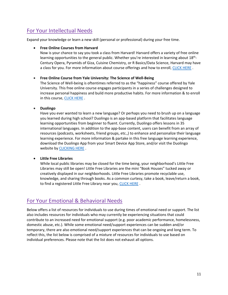# For Your Intellectual Needs

Expand your knowledge or learn a new skill (personal or professional) during your free time.

# • **Free Online Courses from Harvard**

Now is your chance to say you took a class from Harvard! Harvard offers a variety of free online learning opportunities to the general public. Whether you're interested in learning about 18<sup>th</sup>-Century Opera, Pyramids of Giza, Cuisine Chemistry, or R Basics/Data Science, Harvard may have a class for you. For more information about course offerings and how to enroll, [CLICK HERE](https://online-learning.harvard.edu/catalog?keywords=&paid%5B1%5D=1&max_price=&start_date_range%5Bmin%5D%5Bdate%5D=&start_date_range%5Bmax%5D%5Bdate%5D=&=Apply) .

# • **Free Online Course from Yale University: The Science of Well-Being**

The Science of Well-being is oftentimes referred to as the "happiness" course offered by Yale University. This free online course engages participants in a series of challenges designed to increase personal happiness and build more productive habits. For more information & to enroll in this course[, CLICK HERE](https://www.coursera.org/learn/the-science-of-well-being).

# • **Duolingo**

Have you ever wanted to learn a new language? Or perhaps you need to brush up on a language you learned during high school? Duolingo is an app-based platform that facilitates language learning opportunities from beginner to fluent. Currently, Duolingo offers lessons in 35 international languages. In addition to the app-base content, users can benefit from an array of resources (podcasts, worksheets, friend groups, etc.,) to enhance and personalize their language learning experience. For more information & partake in this free language learning experience, download the Duolingo App from your Smart Device App Store, and/or visit the Duolingo website by [CLICKING HERE](https://www.duolingo.com/) .

# • **Little Free Libraries**

While local public libraries may be closed for the time being, your neighborhood's Little Free Libraries may still be open! Little Free Libraries are the mini "Book Houses" tucked away or creatively displayed in our neighborhoods. Little Free Libraries promote recyclable use, knowledge, and sharing through books. As a common curtesy, take a book, leave/return a book, to find a registered Little Free Library near you, [CLICK HERE](https://littlefreelibrary.org/ourmap/).

# For Your Emotional & Behavioral Needs

Below offers a list of resources for individuals to use during times of emotional need or support. The list also includes resources for individuals who may currently be experiencing situations that could contribute to an increased need for emotional support (e.g. poor academic performance, homelessness, domestic abuse, etc.). While some emotional need/support experiences can be sudden and/or temporary, there are also emotional need/support experiences that can be ongoing and long term. To reflect this, the list below is comprised of a mixture of resources for individuals to use based on individual preferences. Please note that the list does not exhaust all options.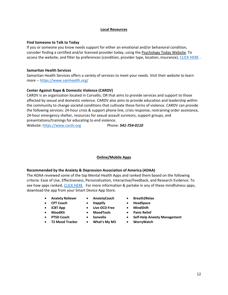#### **Local Resources**

#### **Find Someone to Talk to Today**

If you or someone you know needs support for either an emotional and/or behavioral condition, consider finding a certified and/or licensed provider today, using the Psychology Today Website. To access the website, and filter by preferences (condition, provider type, location, insurance), [CLICK HERE](https://www.psychologytoday.com/us).

#### **Samaritan Health Services**

Samaritan Health Services offers a variety of services to meet your needs. Visit their website to learn more -- <https://www.samhealth.org/>

## **Center Against Rape & Domestic Violence (CARDV)**

CARDV is an organization located in Corvallis, OR that aims to provide services and support to those affected by sexual and domestic violence. CARDV also aims to provide education and leadership within the community to change societal conditions that cultivate these forms of violence. CARDV can provide the following services: 24-hour crisis & support phone line, crisis response, restraining order assistance, 24-hour emergency shelter, resources for sexual assault survivors, support groups, and presentations/trainings for educating to end violence.

Website: [https://www.cardv.org](https://www.cardv.org/) Phone: 541-754-0110

## **Online/Mobile Apps**

## **Recommended by the Anxiety & Depression Association of America (ADAA)**

The ADAA reviewed some of the top Mental Health Apps and ranked them based on the following criteria: Ease of Use, Effectiveness, Personalization, Interactive/Feedback, and Research Evidence. To see how apps ranked, [CLICK HERE](https://adaa.org/finding-help/mobile-apps) . For more information & partake in any of these mindfulness apps, download the app from your Smart Device App Store.

- **Anxiety Reliever AnxietyCoach Breath2Relax**
- 
- 
- 
- 
- 
- 
- 
- **iCBT App Live OCD Free MindShift**
	-
	-
	- **T2 Mood Tracker What's My M3 WorryWatch**
- 
- **CPT Coach Happify HeadSpace**
	-
	- **MoodKit MoodTools Panic Relief**
	- **PTSD Coach Sanvello Self-Help Anxiety Management**
		-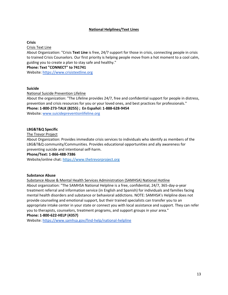## **National Helplines/Text Lines**

## **Crisis**

Crisis Text Line

About Organization: "Crisis **Text Line** is free, 24/7 support for those in crisis, connecting people in crisis to trained Crisis Counselors. Our first priority is helping people move from a hot moment to a cool calm, guiding you to create a plan to stay safe and healthy."

#### **Phone: Text "CONNECT" to 741741**

Website: [https://www.crisistextline.org](https://www.crisistextline.org/)

#### **Suicide**

National Suicide Prevention Lifeline

About the organization: "The Lifeline provides 24/7, free and confidential support for people in distress, prevention and crisis resources for you or your loved ones, and best practices for professionals." **Phone: 1-800-273-TALK (8255) ; En Español: 1-888-628-9454**

Website: [www.suicidepreventionlifeline.org](http://www.suicidepreventionlifeline.org/)

## **LBG&T&Q Specific**

#### The Trevor Project

About Organization: Provides immediate crisis services to individuals who identify as members of the LBG&T&Q community/Communities. Provides educational opportunities and ally awareness for preventing suicide and intentional self-harm.

#### **Phone/Text: 1-866-488-7386**

Website/online chat: [https://www.thetrevorproject.org](https://www.thetrevorproject.org/)

## **Substance Abuse**

Substance Abuse & Mental Health Services Administration (SAMHSA) National Hotline

About organization: "The SAMHSA National Helpline is a free, confidential, 24/7, 365-day-a-year treatment referral and information service (in English and Spanish) for individuals and families facing mental health disorders and substance or behavioral addictions. NOTE: SAMHSA's Helpline does not provide counseling and emotional support, but their trained specialists can transfer you to an appropriate intake center in your state or connect you with local assistance and support. They can refer you to therapists, counselors, treatment programs, and support groups in your area." **Phone: 1-800-622-HELP (4357)**

Website:<https://www.samhsa.gov/find-help/national-helpline>